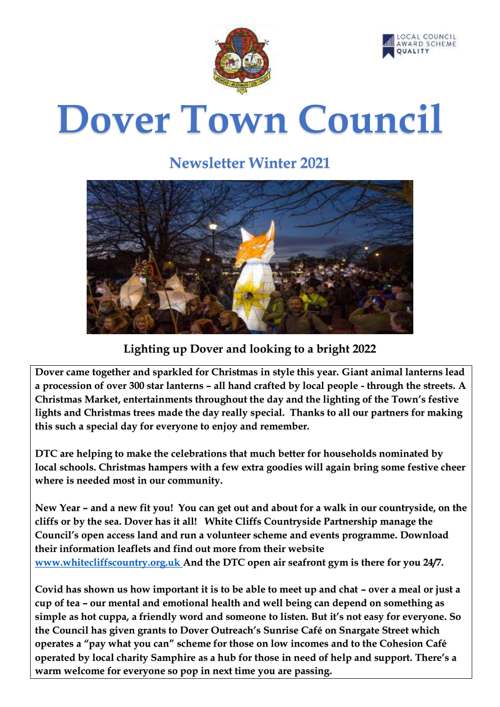



# **Dover Town Council**

# **Newsletter Winter 2021**



### **Lighting up Dover and looking to a bright 2022**

**Dover came together and sparkled for Christmas in style this year. Giant animal lanterns lead a procession of over 300 star lanterns – all hand crafted by local people - through the streets. A Christmas Market, entertainments throughout the day and the lighting of the Town's festive lights and Christmas trees made the day really special. Thanks to all our partners for making this such a special day for everyone to enjoy and remember.**

**DTC are helping to make the celebrations that much better for households nominated by local schools. Christmas hampers with a few extra goodies will again bring some festive cheer where is needed most in our community.** 

**New Year – and a new fit you! You can get out and about for a walk in our countryside, on the cliffs or by the sea. Dover has it all! White Cliffs Countryside Partnership manage the Council's open access land and run a volunteer scheme and events programme. Download their information leaflets and find out more from their website [www.whitecliffscountry.org.uk](http://www.whitecliffscountry.org.uk/) And the DTC open air seafront gym is there for you 24/7.**

**Covid has shown us how important it is to be able to meet up and chat – over a meal or just a cup of tea – our mental and emotional health and well being can depend on something as simple as hot cuppa, a friendly word and someone to listen. But it's not easy for everyone. So the Council has given grants to Dover Outreach's Sunrise Café on Snargate Street which operates a "pay what you can" scheme for those on low incomes and to the Cohesion Café operated by local charity Samphire as a hub for those in need of help and support. There's a warm welcome for everyone so pop in next time you are passing.**